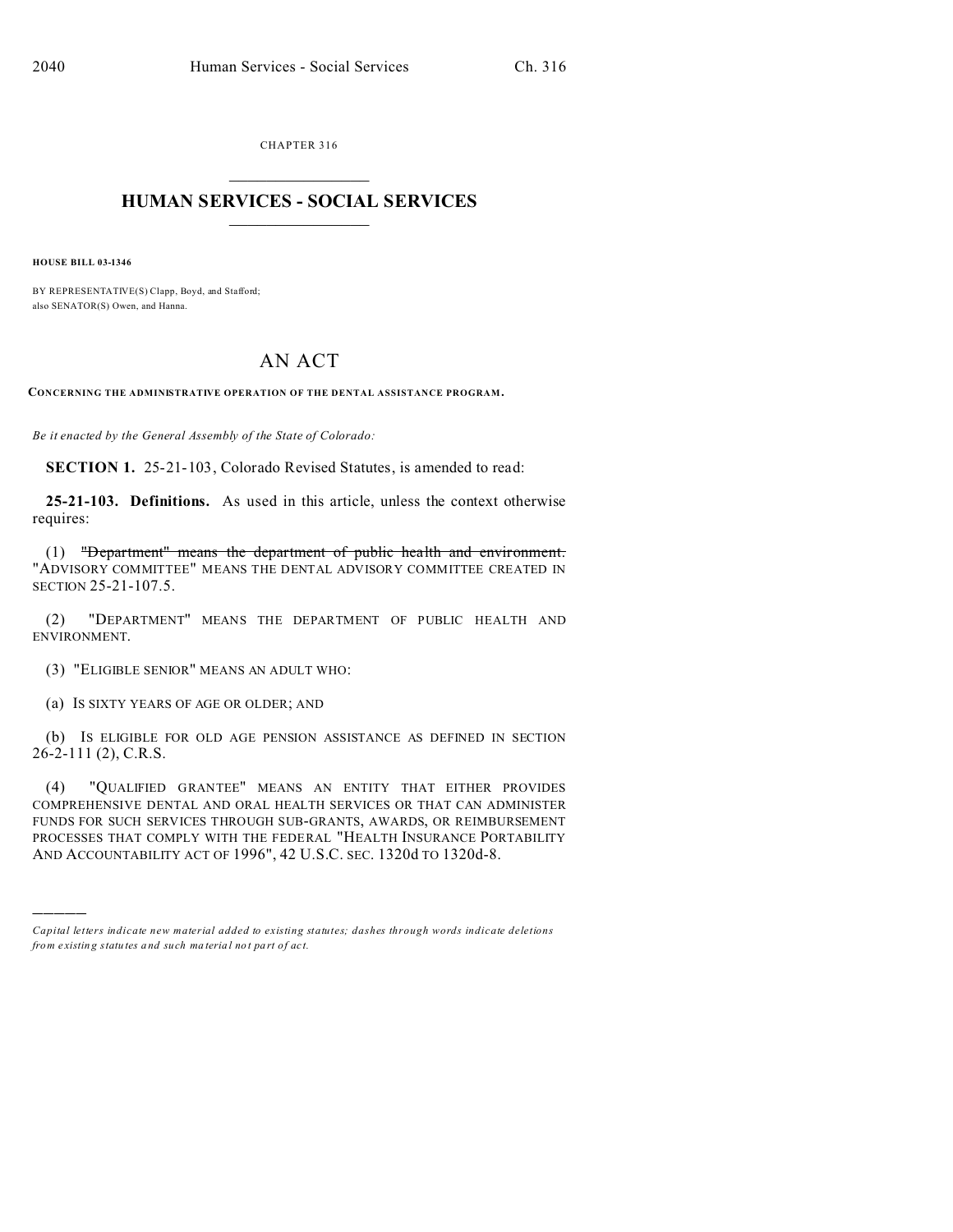CHAPTER 316  $\overline{\phantom{a}}$  , where  $\overline{\phantom{a}}$ 

## **HUMAN SERVICES - SOCIAL SERVICES**  $\frac{1}{2}$  ,  $\frac{1}{2}$  ,  $\frac{1}{2}$  ,  $\frac{1}{2}$  ,  $\frac{1}{2}$  ,  $\frac{1}{2}$

**HOUSE BILL 03-1346**

)))))

BY REPRESENTATIVE(S) Clapp, Boyd, and Stafford; also SENATOR(S) Owen, and Hanna.

## AN ACT

**CONCERNING THE ADMINISTRATIVE OPERATION OF THE DENTAL ASSISTANCE PROGRAM.**

*Be it enacted by the General Assembly of the State of Colorado:*

**SECTION 1.** 25-21-103, Colorado Revised Statutes, is amended to read:

**25-21-103. Definitions.** As used in this article, unless the context otherwise requires:

(1) "Department" means the department of public health and environment. "ADVISORY COMMITTEE" MEANS THE DENTAL ADVISORY COMMITTEE CREATED IN SECTION 25-21-107.5.

(2) "DEPARTMENT" MEANS THE DEPARTMENT OF PUBLIC HEALTH AND ENVIRONMENT.

(3) "ELIGIBLE SENIOR" MEANS AN ADULT WHO:

(a) IS SIXTY YEARS OF AGE OR OLDER; AND

(b) IS ELIGIBLE FOR OLD AGE PENSION ASSISTANCE AS DEFINED IN SECTION 26-2-111 (2), C.R.S.

(4) "QUALIFIED GRANTEE" MEANS AN ENTITY THAT EITHER PROVIDES COMPREHENSIVE DENTAL AND ORAL HEALTH SERVICES OR THAT CAN ADMINISTER FUNDS FOR SUCH SERVICES THROUGH SUB-GRANTS, AWARDS, OR REIMBURSEMENT PROCESSES THAT COMPLY WITH THE FEDERAL "HEALTH INSURANCE PORTABILITY AND ACCOUNTABILITY ACT OF 1996", 42 U.S.C. SEC. 1320d TO 1320d-8.

*Capital letters indicate new material added to existing statutes; dashes through words indicate deletions from e xistin g statu tes a nd such ma teria l no t pa rt of ac t.*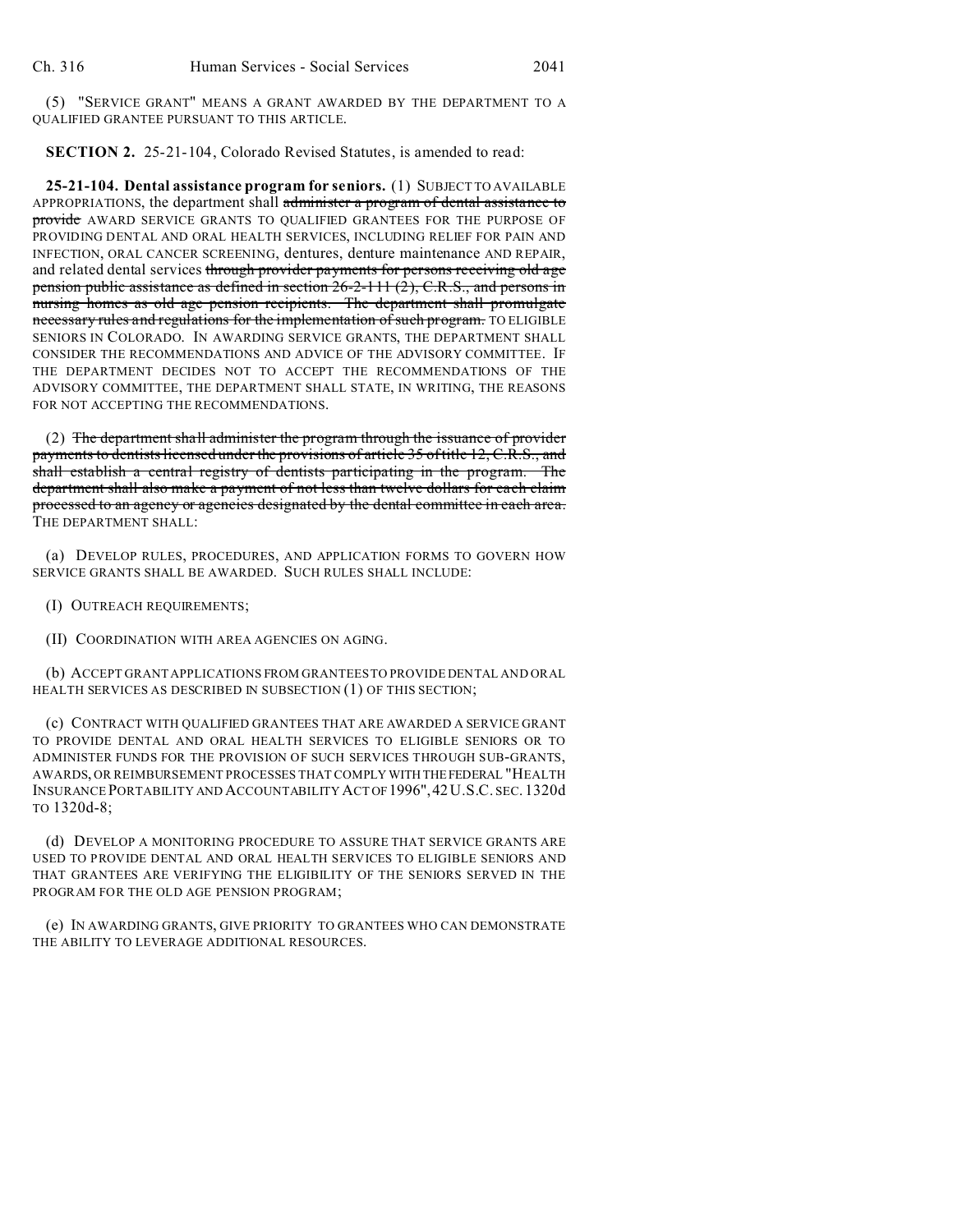(5) "SERVICE GRANT" MEANS A GRANT AWARDED BY THE DEPARTMENT TO A QUALIFIED GRANTEE PURSUANT TO THIS ARTICLE.

**SECTION 2.** 25-21-104, Colorado Revised Statutes, is amended to read:

**25-21-104. Dental assistance program for seniors.** (1) SUBJECT TO AVAILABLE APPROPRIATIONS, the department shall administer a program of dental assistance to provide AWARD SERVICE GRANTS TO QUALIFIED GRANTEES FOR THE PURPOSE OF PROVIDING DENTAL AND ORAL HEALTH SERVICES, INCLUDING RELIEF FOR PAIN AND INFECTION, ORAL CANCER SCREENING, dentures, denture maintenance AND REPAIR, and related dental services through provider payments for persons receiving old age pension public assistance as defined in section 26-2-111 (2), C.R.S., and persons in nursing homes as old age pension recipients. The department shall promulgate necessary rules and regulations for the implementation of such program. TO ELIGIBLE SENIORS IN COLORADO. IN AWARDING SERVICE GRANTS, THE DEPARTMENT SHALL CONSIDER THE RECOMMENDATIONS AND ADVICE OF THE ADVISORY COMMITTEE. IF THE DEPARTMENT DECIDES NOT TO ACCEPT THE RECOMMENDATIONS OF THE ADVISORY COMMITTEE, THE DEPARTMENT SHALL STATE, IN WRITING, THE REASONS FOR NOT ACCEPTING THE RECOMMENDATIONS.

(2) The department shall administer the program through the issuance of provider payments to dentists licensed under the provisions of article 35 of title 12, C.R.S., and shall establish a central registry of dentists participating in the program. The department shall also make a payment of not less than twelve dollars for each claim processed to an agency or agencies designated by the dental committee in each area. THE DEPARTMENT SHALL:

(a) DEVELOP RULES, PROCEDURES, AND APPLICATION FORMS TO GOVERN HOW SERVICE GRANTS SHALL BE AWARDED. SUCH RULES SHALL INCLUDE:

(I) OUTREACH REQUIREMENTS;

(II) COORDINATION WITH AREA AGENCIES ON AGING.

(b) ACCEPT GRANT APPLICATIONS FROM GRANTEES TO PROVIDE DENTAL AND ORAL HEALTH SERVICES AS DESCRIBED IN SUBSECTION (1) OF THIS SECTION;

(c) CONTRACT WITH QUALIFIED GRANTEES THAT ARE AWARDED A SERVICE GRANT TO PROVIDE DENTAL AND ORAL HEALTH SERVICES TO ELIGIBLE SENIORS OR TO ADMINISTER FUNDS FOR THE PROVISION OF SUCH SERVICES THROUGH SUB-GRANTS, AWARDS, OR REIMBURSEMENT PROCESSES THAT COMPLY WITH THEFEDERAL "HEALTH INSURANCE PORTABILITY AND ACCOUNTABILITY ACTOF1996",42U.S.C. SEC. 1320d TO 1320d-8;

(d) DEVELOP A MONITORING PROCEDURE TO ASSURE THAT SERVICE GRANTS ARE USED TO PROVIDE DENTAL AND ORAL HEALTH SERVICES TO ELIGIBLE SENIORS AND THAT GRANTEES ARE VERIFYING THE ELIGIBILITY OF THE SENIORS SERVED IN THE PROGRAM FOR THE OLD AGE PENSION PROGRAM;

(e) IN AWARDING GRANTS, GIVE PRIORITY TO GRANTEES WHO CAN DEMONSTRATE THE ABILITY TO LEVERAGE ADDITIONAL RESOURCES.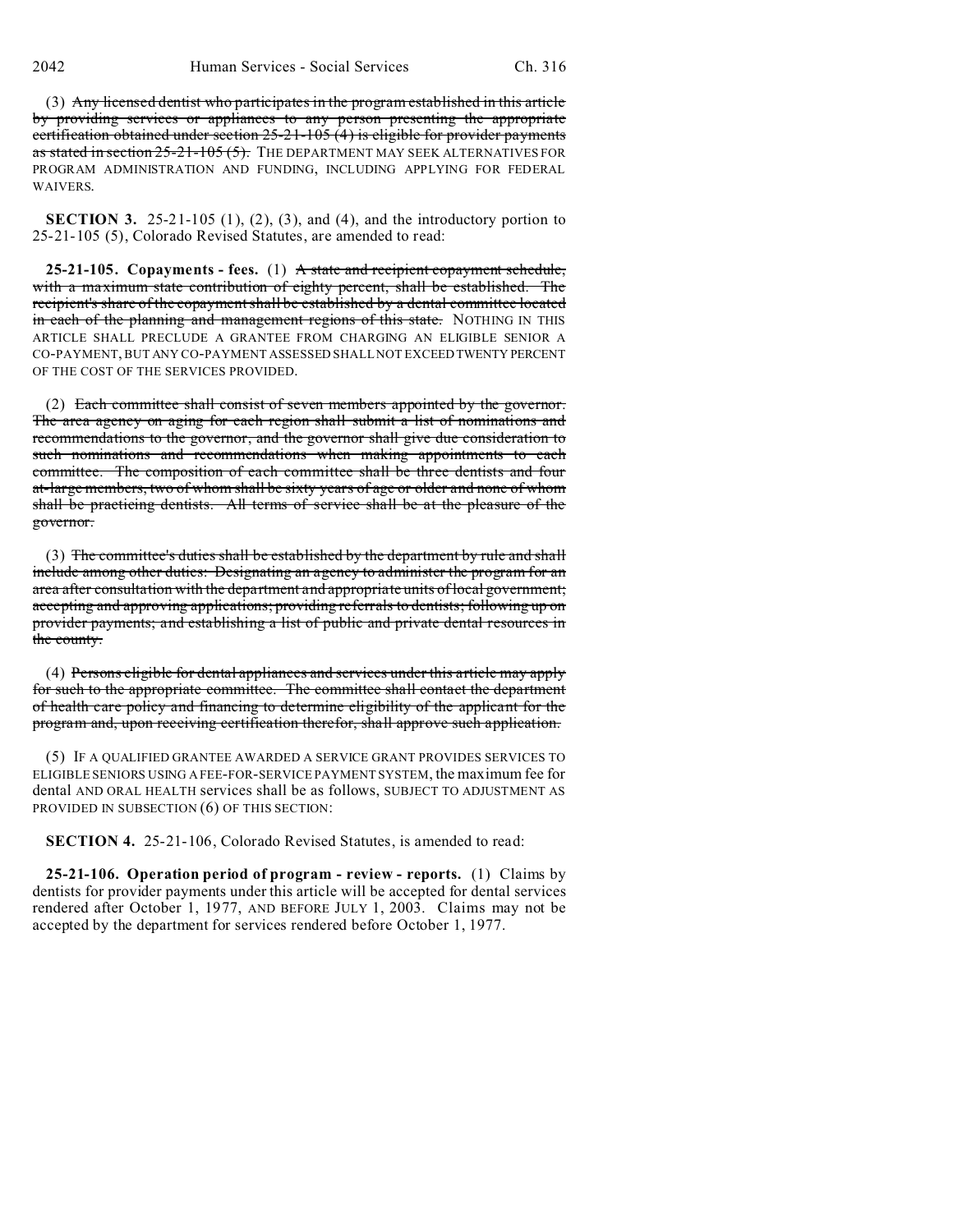(3) Any licensed dentist who participates in the program established in this article by providing services or appliances to any person presenting the appropriate certification obtained under section 25-21-105 (4) is eligible for provider payments as stated in section  $25-21-105(5)$ . The DEPARTMENT MAY SEEK ALTERNATIVES FOR PROGRAM ADMINISTRATION AND FUNDING, INCLUDING APPLYING FOR FEDERAL WAIVERS.

**SECTION 3.** 25-21-105  $(1)$ ,  $(2)$ ,  $(3)$ , and  $(4)$ , and the introductory portion to 25-21-105 (5), Colorado Revised Statutes, are amended to read:

**25-21-105. Copayments - fees.** (1) A state and recipient copayment schedule, with a maximum state contribution of eighty percent, shall be established. The recipient's share of the copayment shall be established by a dental committee located in each of the planning and management regions of this state. NOTHING IN THIS ARTICLE SHALL PRECLUDE A GRANTEE FROM CHARGING AN ELIGIBLE SENIOR A CO-PAYMENT, BUT ANY CO-PAYMENT ASSESSED SHALL NOT EXCEED TWENTY PERCENT OF THE COST OF THE SERVICES PROVIDED.

(2) Each committee shall consist of seven members appointed by the governor. The area agency on aging for each region shall submit a list of nominations and recommendations to the governor, and the governor shall give due consideration to such nominations and recommendations when making appointments to each committee. The composition of each committee shall be three dentists and four at-large members, two of whom shall be sixty years of age or older and none of whom shall be practicing dentists. All terms of service shall be at the pleasure of the governor.

(3) The committee's duties shall be established by the department by rule and shall include among other duties: Designating an agency to administer the program for an area after consultation with the department and appropriate units of local government; accepting and approving applications; providing referrals to dentists; following up on provider payments; and establishing a list of public and private dental resources in the county.

(4) Persons eligible for dental appliances and services under this article may apply for such to the appropriate committee. The committee shall contact the department of health care policy and financing to determine eligibility of the applicant for the program and, upon receiving certification therefor, shall approve such application.

(5) IF A QUALIFIED GRANTEE AWARDED A SERVICE GRANT PROVIDES SERVICES TO ELIGIBLE SENIORS USING A FEE-FOR-SERVICE PAYMENT SYSTEM, the maximum fee for dental AND ORAL HEALTH services shall be as follows, SUBJECT TO ADJUSTMENT AS PROVIDED IN SUBSECTION (6) OF THIS SECTION:

**SECTION 4.** 25-21-106, Colorado Revised Statutes, is amended to read:

**25-21-106. Operation period of program - review - reports.** (1) Claims by dentists for provider payments under this article will be accepted for dental services rendered after October 1, 1977, AND BEFORE JULY 1, 2003. Claims may not be accepted by the department for services rendered before October 1, 1977.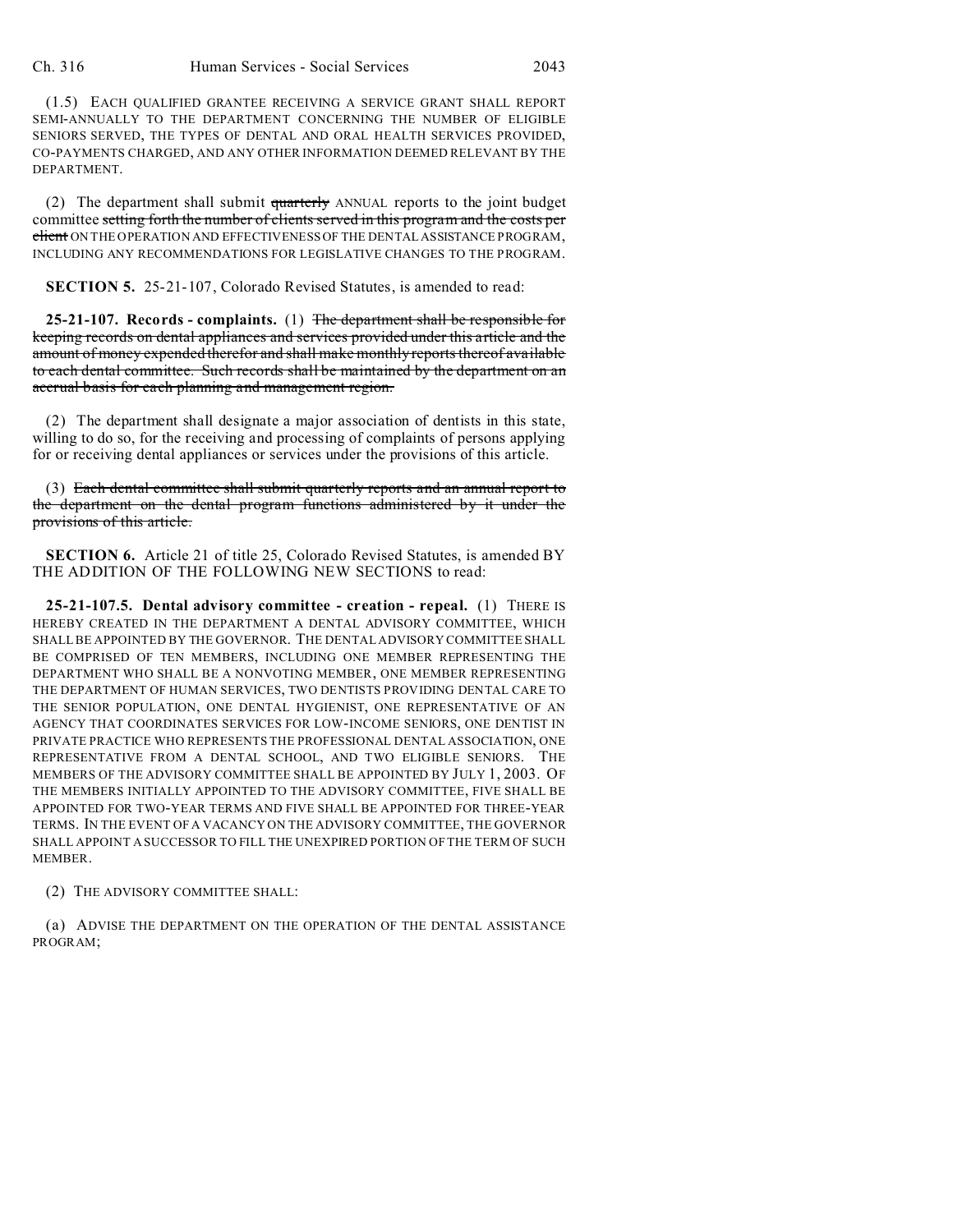(1.5) EACH QUALIFIED GRANTEE RECEIVING A SERVICE GRANT SHALL REPORT SEMI-ANNUALLY TO THE DEPARTMENT CONCERNING THE NUMBER OF ELIGIBLE SENIORS SERVED, THE TYPES OF DENTAL AND ORAL HEALTH SERVICES PROVIDED, CO-PAYMENTS CHARGED, AND ANY OTHER INFORMATION DEEMED RELEVANT BY THE DEPARTMENT.

(2) The department shall submit quarterly ANNUAL reports to the joint budget committee setting forth the number of clients served in this program and the costs per client ON THE OPERATION AND EFFECTIVENESS OF THE DENTAL ASSISTANCE PROGRAM, INCLUDING ANY RECOMMENDATIONS FOR LEGISLATIVE CHANGES TO THE PROGRAM.

**SECTION 5.** 25-21-107, Colorado Revised Statutes, is amended to read:

**25-21-107. Records - complaints.** (1) The department shall be responsible for keeping records on dental appliances and services provided under this article and the amount of money expended therefor and shall make monthly reports thereof available to each dental committee. Such records shall be maintained by the department on an accrual basis for each planning and management region.

(2) The department shall designate a major association of dentists in this state, willing to do so, for the receiving and processing of complaints of persons applying for or receiving dental appliances or services under the provisions of this article.

(3) Each dental committee shall submit quarterly reports and an annual report to the department on the dental program functions administered by it under the provisions of this article.

**SECTION 6.** Article 21 of title 25, Colorado Revised Statutes, is amended BY THE ADDITION OF THE FOLLOWING NEW SECTIONS to read:

**25-21-107.5. Dental advisory committee - creation - repeal.** (1) THERE IS HEREBY CREATED IN THE DEPARTMENT A DENTAL ADVISORY COMMITTEE, WHICH SHALL BE APPOINTED BY THE GOVERNOR. THE DENTAL ADVISORY COMMITTEE SHALL BE COMPRISED OF TEN MEMBERS, INCLUDING ONE MEMBER REPRESENTING THE DEPARTMENT WHO SHALL BE A NONVOTING MEMBER, ONE MEMBER REPRESENTING THE DEPARTMENT OF HUMAN SERVICES, TWO DENTISTS PROVIDING DENTAL CARE TO THE SENIOR POPULATION, ONE DENTAL HYGIENIST, ONE REPRESENTATIVE OF AN AGENCY THAT COORDINATES SERVICES FOR LOW-INCOME SENIORS, ONE DENTIST IN PRIVATE PRACTICE WHO REPRESENTS THE PROFESSIONAL DENTAL ASSOCIATION, ONE REPRESENTATIVE FROM A DENTAL SCHOOL, AND TWO ELIGIBLE SENIORS. THE MEMBERS OF THE ADVISORY COMMITTEE SHALL BE APPOINTED BY JULY 1, 2003. OF THE MEMBERS INITIALLY APPOINTED TO THE ADVISORY COMMITTEE, FIVE SHALL BE APPOINTED FOR TWO-YEAR TERMS AND FIVE SHALL BE APPOINTED FOR THREE-YEAR TERMS. IN THE EVENT OF A VACANCY ON THE ADVISORY COMMITTEE, THE GOVERNOR SHALL APPOINT A SUCCESSOR TO FILL THE UNEXPIRED PORTION OF THE TERM OF SUCH MEMBER.

(2) THE ADVISORY COMMITTEE SHALL:

(a) ADVISE THE DEPARTMENT ON THE OPERATION OF THE DENTAL ASSISTANCE PROGRAM;